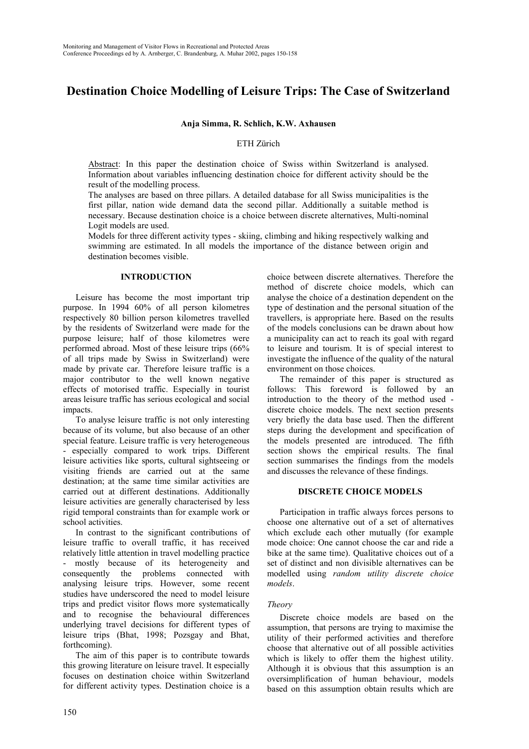# **Destination Choice Modelling of Leisure Trips: The Case of Switzerland**

**Anja Simma, R. Schlich, K.W. Axhausen**

ETH Zürich

Abstract: In this paper the destination choice of Swiss within Switzerland is analysed. Information about variables influencing destination choice for different activity should be the result of the modelling process.

The analyses are based on three pillars. A detailed database for all Swiss municipalities is the first pillar, nation wide demand data the second pillar. Additionally a suitable method is necessary. Because destination choice is a choice between discrete alternatives, Multi-nominal Logit models are used.

Models for three different activity types - skiing, climbing and hiking respectively walking and swimming are estimated. In all models the importance of the distance between origin and destination becomes visible.

#### **INTRODUCTION**

Leisure has become the most important trip purpose. In 1994 60% of all person kilometres respectively 80 billion person kilometres travelled by the residents of Switzerland were made for the purpose leisure; half of those kilometres were performed abroad. Most of these leisure trips (66% of all trips made by Swiss in Switzerland) were made by private car. Therefore leisure traffic is a major contributor to the well known negative effects of motorised traffic. Especially in tourist areas leisure traffic has serious ecological and social impacts.

To analyse leisure traffic is not only interesting because of its volume, but also because of an other special feature. Leisure traffic is very heterogeneous - especially compared to work trips. Different leisure activities like sports, cultural sightseeing or visiting friends are carried out at the same destination; at the same time similar activities are carried out at different destinations. Additionally leisure activities are generally characterised by less rigid temporal constraints than for example work or school activities.

In contrast to the significant contributions of leisure traffic to overall traffic, it has received relatively little attention in travel modelling practice - mostly because of its heterogeneity and consequently the problems connected with analysing leisure trips. However, some recent studies have underscored the need to model leisure trips and predict visitor flows more systematically and to recognise the behavioural differences underlying travel decisions for different types of leisure trips (Bhat, 1998; Pozsgay and Bhat, forthcoming).

The aim of this paper is to contribute towards this growing literature on leisure travel. It especially focuses on destination choice within Switzerland for different activity types. Destination choice is a

choice between discrete alternatives. Therefore the method of discrete choice models, which can analyse the choice of a destination dependent on the type of destination and the personal situation of the travellers, is appropriate here. Based on the results of the models conclusions can be drawn about how a municipality can act to reach its goal with regard to leisure and tourism. It is of special interest to investigate the influence of the quality of the natural environment on those choices.

The remainder of this paper is structured as follows: This foreword is followed by an introduction to the theory of the method used discrete choice models. The next section presents very briefly the data base used. Then the different steps during the development and specification of the models presented are introduced. The fifth section shows the empirical results. The final section summarises the findings from the models and discusses the relevance of these findings.

#### **DISCRETE CHOICE MODELS**

Participation in traffic always forces persons to choose one alternative out of a set of alternatives which exclude each other mutually (for example mode choice: One cannot choose the car and ride a bike at the same time). Qualitative choices out of a set of distinct and non divisible alternatives can be modelled using *random utility discrete choice models*.

#### *Theory*

Discrete choice models are based on the assumption, that persons are trying to maximise the utility of their performed activities and therefore choose that alternative out of all possible activities which is likely to offer them the highest utility. Although it is obvious that this assumption is an oversimplification of human behaviour, models based on this assumption obtain results which are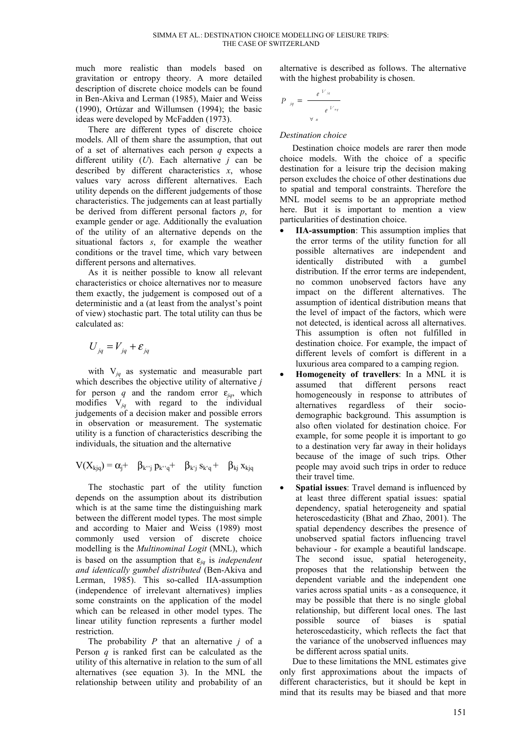much more realistic than models based on gravitation or entropy theory. A more detailed description of discrete choice models can be found in Ben-Akiva and Lerman (1985), Maier and Weiss (1990), Ortúzar and Willumsen (1994); the basic ideas were developed by McFadden (1973).

There are different types of discrete choice models. All of them share the assumption, that out of a set of alternatives each person *q* expects a different utility (*U*). Each alternative *j* can be described by different characteristics *x*, whose values vary across different alternatives. Each utility depends on the different judgements of those characteristics. The judgements can at least partially be derived from different personal factors *p*, for example gender or age. Additionally the evaluation of the utility of an alternative depends on the situational factors *s*, for example the weather conditions or the travel time, which vary between different persons and alternatives.

As it is neither possible to know all relevant characteristics or choice alternatives nor to measure them exactly, the judgement is composed out of a deterministic and a (at least from the analyst's point of view) stochastic part. The total utility can thus be calculated as:

$$
U_{jq} = V_{jq} + \varepsilon_{jq}
$$

with V*jq* as systematic and measurable part which describes the objective utility of alternative *j* for person q and the random error  $\varepsilon_{jq}$ , which modifies V*jq* with regard to the individual judgements of a decision maker and possible errors in observation or measurement. The systematic utility is a function of characteristics describing the individuals, the situation and the alternative

$$
V(X_{kjq}) = \alpha_j + \beta_{k^c j} p_{k^c q} + \beta_{k^c j} s_{k^c q} + \beta_{kj} s_{k^c q}
$$

The stochastic part of the utility function depends on the assumption about its distribution which is at the same time the distinguishing mark between the different model types. The most simple and according to Maier and Weiss (1989) most commonly used version of discrete choice modelling is the *Multinominal Logit* (MNL), which is based on the assumption that  $\varepsilon_{jq}$  is *independent and identically gumbel distributed* (Ben-Akiva and Lerman, 1985). This so-called IIA-assumption (independence of irrelevant alternatives) implies some constraints on the application of the model which can be released in other model types. The linear utility function represents a further model restriction.

The probability *P* that an alternative *j* of a Person *q* is ranked first can be calculated as the utility of this alternative in relation to the sum of all alternatives (see equation 3). In the MNL the relationship between utility and probability of an alternative is described as follows. The alternative with the highest probability is chosen.

$$
P_{jq} = \frac{e^{V_{jq}}}{e^{V_{nq}}}
$$

## *Destination choice*

Destination choice models are rarer then mode choice models. With the choice of a specific destination for a leisure trip the decision making person excludes the choice of other destinations due to spatial and temporal constraints. Therefore the MNL model seems to be an appropriate method here. But it is important to mention a view particularities of destination choice.

- **IIA-assumption**: This assumption implies that the error terms of the utility function for all possible alternatives are independent and identically distributed with a gumbel distribution. If the error terms are independent, no common unobserved factors have any impact on the different alternatives. The assumption of identical distribution means that the level of impact of the factors, which were not detected, is identical across all alternatives. This assumption is often not fulfilled in destination choice. For example, the impact of different levels of comfort is different in a luxurious area compared to a camping region.
- **Homogeneity of travellers**: In a MNL it is assumed that different persons react homogeneously in response to attributes of alternatives regardless of their sociodemographic background. This assumption is also often violated for destination choice. For example, for some people it is important to go to a destination very far away in their holidays because of the image of such trips. Other people may avoid such trips in order to reduce their travel time.
- **Spatial issues**: Travel demand is influenced by at least three different spatial issues: spatial dependency, spatial heterogeneity and spatial heteroscedasticity (Bhat and Zhao, 2001). The spatial dependency describes the presence of unobserved spatial factors influencing travel behaviour - for example a beautiful landscape. The second issue, spatial heterogeneity, proposes that the relationship between the dependent variable and the independent one varies across spatial units - as a consequence, it may be possible that there is no single global relationship, but different local ones. The last possible source of biases is spatial heteroscedasticity, which reflects the fact that the variance of the unobserved influences may be different across spatial units.

Due to these limitations the MNL estimates give only first approximations about the impacts of different characteristics, but it should be kept in mind that its results may be biased and that more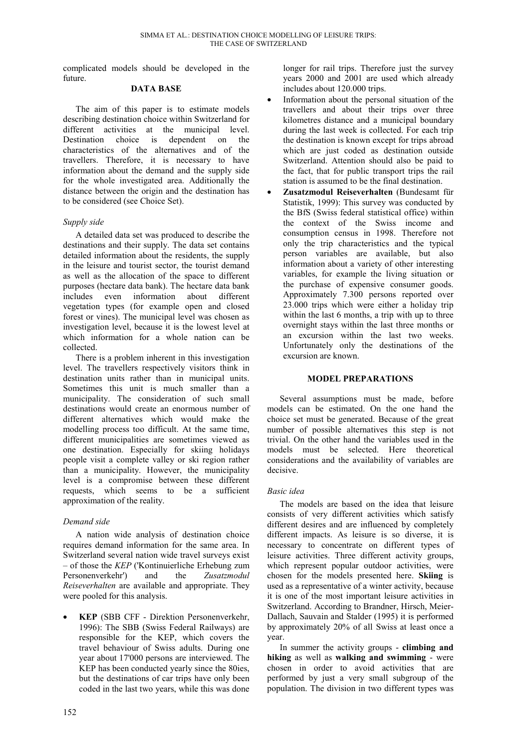complicated models should be developed in the future.

#### **DATA BASE**

The aim of this paper is to estimate models describing destination choice within Switzerland for different activities at the municipal level. Destination choice is dependent on the characteristics of the alternatives and of the travellers. Therefore, it is necessary to have information about the demand and the supply side for the whole investigated area. Additionally the distance between the origin and the destination has to be considered (see Choice Set).

#### *Supply side*

A detailed data set was produced to describe the destinations and their supply. The data set contains detailed information about the residents, the supply in the leisure and tourist sector, the tourist demand as well as the allocation of the space to different purposes (hectare data bank). The hectare data bank includes even information about different vegetation types (for example open and closed forest or vines). The municipal level was chosen as investigation level, because it is the lowest level at which information for a whole nation can be collected.

There is a problem inherent in this investigation level. The travellers respectively visitors think in destination units rather than in municipal units. Sometimes this unit is much smaller than a municipality. The consideration of such small destinations would create an enormous number of different alternatives which would make the modelling process too difficult. At the same time, different municipalities are sometimes viewed as one destination. Especially for skiing holidays people visit a complete valley or ski region rather than a municipality. However, the municipality level is a compromise between these different requests, which seems to be a sufficient approximation of the reality.

#### *Demand side*

A nation wide analysis of destination choice requires demand information for the same area. In Switzerland several nation wide travel surveys exist – of those the *KEP* ('Kontinuierliche Erhebung zum Personenverkehr') and the *Zusatzmodul Reiseverhalten* are available and appropriate. They were pooled for this analysis.

• **KEP** (SBB CFF - Direktion Personenverkehr, 1996): The SBB (Swiss Federal Railways) are responsible for the KEP, which covers the travel behaviour of Swiss adults. During one year about 17'000 persons are interviewed. The KEP has been conducted yearly since the 80ies, but the destinations of car trips have only been coded in the last two years, while this was done

longer for rail trips. Therefore just the survey years 2000 and 2001 are used which already includes about 120.000 trips.

- Information about the personal situation of the travellers and about their trips over three kilometres distance and a municipal boundary during the last week is collected. For each trip the destination is known except for trips abroad which are just coded as destination outside Switzerland. Attention should also be paid to the fact, that for public transport trips the rail station is assumed to be the final destination.
- **Zusatzmodul Reiseverhalten** (Bundesamt für Statistik, 1999): This survey was conducted by the BfS (Swiss federal statistical office) within the context of the Swiss income and consumption census in 1998. Therefore not only the trip characteristics and the typical person variables are available, but also information about a variety of other interesting variables, for example the living situation or the purchase of expensive consumer goods. Approximately 7.300 persons reported over 23.000 trips which were either a holiday trip within the last 6 months, a trip with up to three overnight stays within the last three months or an excursion within the last two weeks. Unfortunately only the destinations of the excursion are known.

#### **MODEL PREPARATIONS**

Several assumptions must be made, before models can be estimated. On the one hand the choice set must be generated. Because of the great number of possible alternatives this step is not trivial. On the other hand the variables used in the models must be selected. Here theoretical considerations and the availability of variables are decisive.

#### *Basic idea*

The models are based on the idea that leisure consists of very different activities which satisfy different desires and are influenced by completely different impacts. As leisure is so diverse, it is necessary to concentrate on different types of leisure activities. Three different activity groups, which represent popular outdoor activities, were chosen for the models presented here. **Skiing** is used as a representative of a winter activity, because it is one of the most important leisure activities in Switzerland. According to Brandner, Hirsch, Meier-Dallach, Sauvain and Stalder (1995) it is performed by approximately 20% of all Swiss at least once a year.

In summer the activity groups - **climbing and hiking** as well as **walking and swimming** - were chosen in order to avoid activities that are performed by just a very small subgroup of the population. The division in two different types was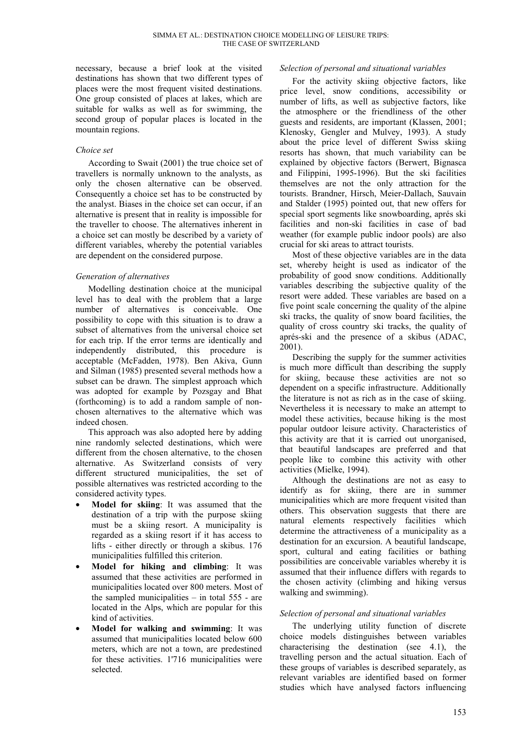necessary, because a brief look at the visited destinations has shown that two different types of places were the most frequent visited destinations. One group consisted of places at lakes, which are suitable for walks as well as for swimming, the second group of popular places is located in the mountain regions.

#### *Choice set*

According to Swait (2001) the true choice set of travellers is normally unknown to the analysts, as only the chosen alternative can be observed. Consequently a choice set has to be constructed by the analyst. Biases in the choice set can occur, if an alternative is present that in reality is impossible for the traveller to choose. The alternatives inherent in a choice set can mostly be described by a variety of different variables, whereby the potential variables are dependent on the considered purpose.

## *Generation of alternatives*

Modelling destination choice at the municipal level has to deal with the problem that a large number of alternatives is conceivable. One possibility to cope with this situation is to draw a subset of alternatives from the universal choice set for each trip. If the error terms are identically and independently distributed, this procedure is acceptable (McFadden, 1978). Ben Akiva, Gunn and Silman (1985) presented several methods how a subset can be drawn. The simplest approach which was adopted for example by Pozsgay and Bhat (forthcoming) is to add a random sample of nonchosen alternatives to the alternative which was indeed chosen.

This approach was also adopted here by adding nine randomly selected destinations, which were different from the chosen alternative, to the chosen alternative. As Switzerland consists of very different structured municipalities, the set of possible alternatives was restricted according to the considered activity types.

- **Model for skiing**: It was assumed that the destination of a trip with the purpose skiing must be a skiing resort. A municipality is regarded as a skiing resort if it has access to lifts - either directly or through a skibus. 176 municipalities fulfilled this criterion.
- **Model for hiking and climbing**: It was assumed that these activities are performed in municipalities located over 800 meters. Most of the sampled municipalities – in total 555 - are located in the Alps, which are popular for this kind of activities.
- **Model for walking and swimming**: It was assumed that municipalities located below 600 meters, which are not a town, are predestined for these activities. 1'716 municipalities were selected.

#### *Selection of personal and situational variables*

For the activity skiing objective factors, like price level, snow conditions, accessibility or number of lifts, as well as subjective factors, like the atmosphere or the friendliness of the other guests and residents, are important (Klassen, 2001; Klenosky, Gengler and Mulvey, 1993). A study about the price level of different Swiss skiing resorts has shown, that much variability can be explained by objective factors (Berwert, Bignasca and Filippini, 1995-1996). But the ski facilities themselves are not the only attraction for the tourists. Brandner, Hirsch, Meier-Dallach, Sauvain and Stalder (1995) pointed out, that new offers for special sport segments like snowboarding, aprés ski facilities and non-ski facilities in case of bad weather (for example public indoor pools) are also crucial for ski areas to attract tourists.

Most of these objective variables are in the data set, whereby height is used as indicator of the probability of good snow conditions. Additionally variables describing the subjective quality of the resort were added. These variables are based on a five point scale concerning the quality of the alpine ski tracks, the quality of snow board facilities, the quality of cross country ski tracks, the quality of aprés-ski and the presence of a skibus (ADAC, 2001).

Describing the supply for the summer activities is much more difficult than describing the supply for skiing, because these activities are not so dependent on a specific infrastructure. Additionally the literature is not as rich as in the case of skiing. Nevertheless it is necessary to make an attempt to model these activities, because hiking is the most popular outdoor leisure activity. Characteristics of this activity are that it is carried out unorganised, that beautiful landscapes are preferred and that people like to combine this activity with other activities (Mielke, 1994).

Although the destinations are not as easy to identify as for skiing, there are in summer municipalities which are more frequent visited than others. This observation suggests that there are natural elements respectively facilities which determine the attractiveness of a municipality as a destination for an excursion. A beautiful landscape, sport, cultural and eating facilities or bathing possibilities are conceivable variables whereby it is assumed that their influence differs with regards to the chosen activity (climbing and hiking versus walking and swimming).

## *Selection of personal and situational variables*

The underlying utility function of discrete choice models distinguishes between variables characterising the destination (see 4.1), the travelling person and the actual situation. Each of these groups of variables is described separately, as relevant variables are identified based on former studies which have analysed factors influencing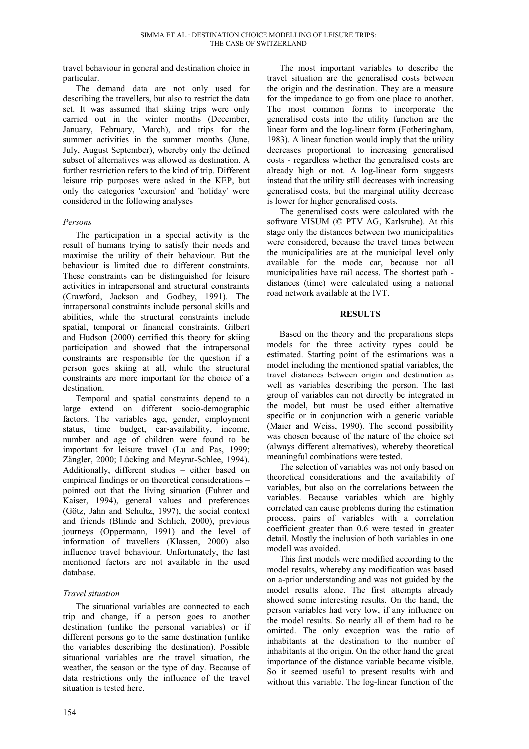travel behaviour in general and destination choice in particular.

The demand data are not only used for describing the travellers, but also to restrict the data set. It was assumed that skiing trips were only carried out in the winter months (December, January, February, March), and trips for the summer activities in the summer months (June, July, August September), whereby only the defined subset of alternatives was allowed as destination. A further restriction refers to the kind of trip. Different leisure trip purposes were asked in the KEP, but only the categories 'excursion' and 'holiday' were considered in the following analyses

#### *Persons*

The participation in a special activity is the result of humans trying to satisfy their needs and maximise the utility of their behaviour. But the behaviour is limited due to different constraints. These constraints can be distinguished for leisure activities in intrapersonal and structural constraints (Crawford, Jackson and Godbey, 1991). The intrapersonal constraints include personal skills and abilities, while the structural constraints include spatial, temporal or financial constraints. Gilbert and Hudson (2000) certified this theory for skiing participation and showed that the intrapersonal constraints are responsible for the question if a person goes skiing at all, while the structural constraints are more important for the choice of a destination.

Temporal and spatial constraints depend to a large extend on different socio-demographic factors. The variables age, gender, employment status, time budget, car-availability, income, number and age of children were found to be important for leisure travel (Lu and Pas, 1999; Zängler, 2000; Lücking and Meyrat-Schlee, 1994). Additionally, different studies – either based on empirical findings or on theoretical considerations – pointed out that the living situation (Fuhrer and Kaiser, 1994), general values and preferences (Götz, Jahn and Schultz, 1997), the social context and friends (Blinde and Schlich, 2000), previous journeys (Oppermann, 1991) and the level of information of travellers (Klassen, 2000) also influence travel behaviour. Unfortunately, the last mentioned factors are not available in the used database.

## *Travel situation*

The situational variables are connected to each trip and change, if a person goes to another destination (unlike the personal variables) or if different persons go to the same destination (unlike the variables describing the destination). Possible situational variables are the travel situation, the weather, the season or the type of day. Because of data restrictions only the influence of the travel situation is tested here.

The most important variables to describe the travel situation are the generalised costs between the origin and the destination. They are a measure for the impedance to go from one place to another. The most common forms to incorporate the generalised costs into the utility function are the linear form and the log-linear form (Fotheringham, 1983). A linear function would imply that the utility decreases proportional to increasing generalised costs - regardless whether the generalised costs are already high or not. A log-linear form suggests instead that the utility still decreases with increasing generalised costs, but the marginal utility decrease is lower for higher generalised costs.

The generalised costs were calculated with the software VISUM (© PTV AG, Karlsruhe). At this stage only the distances between two municipalities were considered, because the travel times between the municipalities are at the municipal level only available for the mode car, because not all municipalities have rail access. The shortest path distances (time) were calculated using a national road network available at the IVT.

#### **RESULTS**

Based on the theory and the preparations steps models for the three activity types could be estimated. Starting point of the estimations was a model including the mentioned spatial variables, the travel distances between origin and destination as well as variables describing the person. The last group of variables can not directly be integrated in the model, but must be used either alternative specific or in conjunction with a generic variable (Maier and Weiss, 1990). The second possibility was chosen because of the nature of the choice set (always different alternatives), whereby theoretical meaningful combinations were tested.

The selection of variables was not only based on theoretical considerations and the availability of variables, but also on the correlations between the variables. Because variables which are highly correlated can cause problems during the estimation process, pairs of variables with a correlation coefficient greater than 0.6 were tested in greater detail. Mostly the inclusion of both variables in one modell was avoided.

This first models were modified according to the model results, whereby any modification was based on a-prior understanding and was not guided by the model results alone. The first attempts already showed some interesting results. On the hand, the person variables had very low, if any influence on the model results. So nearly all of them had to be omitted. The only exception was the ratio of inhabitants at the destination to the number of inhabitants at the origin. On the other hand the great importance of the distance variable became visible. So it seemed useful to present results with and without this variable. The log-linear function of the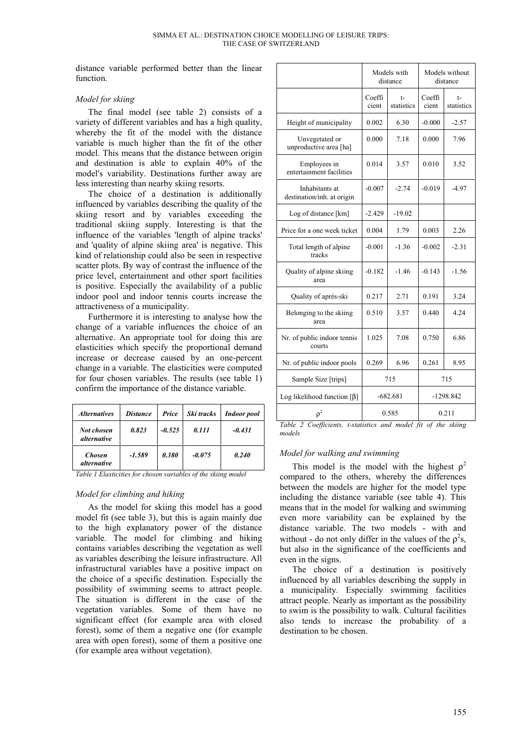distance variable performed better than the linear function.

#### *Model for skiing*

The final model (see table 2) consists of a variety of different variables and has a high quality, whereby the fit of the model with the distance variable is much higher than the fit of the other model. This means that the distance between origin and destination is able to explain 40% of the model's variability. Destinations further away are less interesting than nearby skiing resorts.

The choice of a destination is additionally influenced by variables describing the quality of the skiing resort and by variables exceeding the traditional skiing supply. Interesting is that the influence of the variables 'length of alpine tracks' and 'quality of alpine skiing area' is negative. This kind of relationship could also be seen in respective scatter plots. By way of contrast the influence of the price level, entertainment and other sport facilities is positive. Especially the availability of a public indoor pool and indoor tennis courts increase the attractiveness of a municipality.

Furthermore it is interesting to analyse how the change of a variable influences the choice of an alternative. An appropriate tool for doing this are elasticities which specify the proportional demand increase or decrease caused by an one-percent change in a variable. The elasticities were computed for four chosen variables. The results (see table 1) confirm the importance of the distance variable.

| <i><b>Alternatives</b></i>          | <b>Distance</b> | Price    | Ski tracks | <b>Indoor</b> pool |
|-------------------------------------|-----------------|----------|------------|--------------------|
| Not chosen<br><i>alternative</i>    | 0.823           | $-0.525$ | 0.111      | $-0.431$           |
| <b>Chosen</b><br><i>alternative</i> | -1.589          | 0.380    | $-0.075$   | 0.240              |

*Table 1 Elasticities for chosen variables of the skiing model*

## *Model for climbing and hiking*

As the model for skiing this model has a good model fit (see table 3), but this is again mainly due to the high explanatory power of the distance variable. The model for climbing and hiking contains variables describing the vegetation as well as variables describing the leisure infrastructure. All infrastructural variables have a positive impact on the choice of a specific destination. Especially the possibility of swimming seems to attract people. The situation is different in the case of the vegetation variables. Some of them have no significant effect (for example area with closed forest), some of them a negative one (for example area with open forest), some of them a positive one (for example area without vegetation).

|                                              | Models with<br>distance |                  | Models without<br>distance |                  |  |
|----------------------------------------------|-------------------------|------------------|----------------------------|------------------|--|
|                                              | Coeffi<br>cient         | t-<br>statistics | Coeffi<br>cient            | t-<br>statistics |  |
| Height of municipality                       | 0.002                   | 6.30             | $-0.000$                   | $-2.57$          |  |
| Unvegetated or<br>unproductive area [ha]     | 0.000                   | 7.18             | 0.000                      | 7.96             |  |
| Employees in<br>entertainment facilities     | 0.014                   | 3.57             | 0.010                      | 3.52             |  |
| Inhabitants at<br>destination/inh. at origin | $-0.007$                | $-2.74$          | $-0.019$                   | $-4.97$          |  |
| Log of distance [km]                         | $-2.429$                | $-19.02$         |                            |                  |  |
| Price for a one week ticket                  | 0.004                   | 1.79             | 0.003                      | 2.26             |  |
| Total length of alpine<br>tracks             | $-0.001$                | $-1.36$          | $-0.002$                   | $-2.31$          |  |
| Quality of alpine skiing<br>area             | $-0.182$                | $-1.46$          | $-0.143$                   | $-1.56$          |  |
| Quality of après-ski                         | 0.217                   | 2.71             | 0.191                      | 3.24             |  |
| Belonging to the skiing<br>area              | 0.510                   | 3.57             | 0.440                      | 4.24             |  |
| Nr. of public indoor tennis<br>courts        | 1.025                   | 7.08             | 0.750                      | 6.86             |  |
| Nr. of public indoor pools                   | 0.269                   | 6.96             | 0.261                      | 8.95             |  |
| Sample Size [trips]                          | 715                     |                  | 715                        |                  |  |
| Log likelihood function $[\beta]$            | $-682.681$              |                  | $-1298.842$                |                  |  |
| $\rho^2$                                     | 0.585                   |                  | 0.211                      |                  |  |

*Table 2 Coefficients, t-statistics and model fit of the skiing models*

## *Model for walking and swimming*

This model is the model with the highest  $\rho^2$ compared to the others, whereby the differences between the models are higher for the model type including the distance variable (see table 4). This means that in the model for walking and swimming even more variability can be explained by the distance variable. The two models - with and without - do not only differ in the values of the  $\rho^2$ s, but also in the significance of the coefficients and even in the signs.

The choice of a destination is positively influenced by all variables describing the supply in a municipality. Especially swimming facilities attract people. Nearly as important as the possibility to swim is the possibility to walk. Cultural facilities also tends to increase the probability of a destination to be chosen.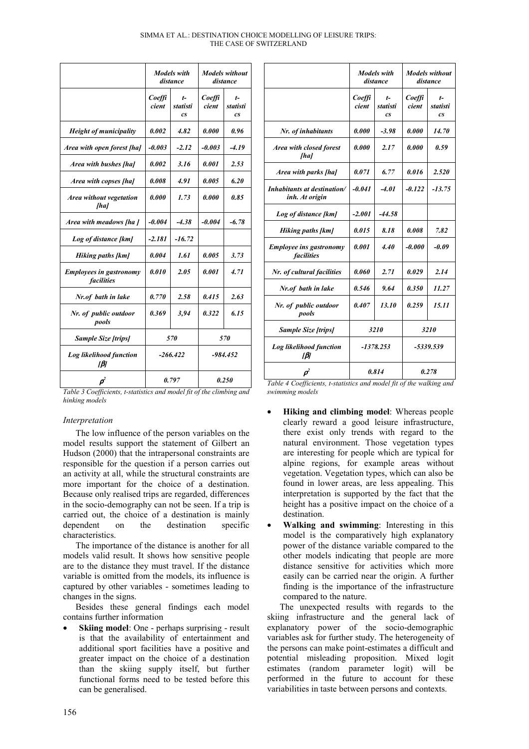| SIMMA ET AL.: DESTINATION CHOICE MODELLING OF LEISURE TRIPS: |  |
|--------------------------------------------------------------|--|
| THE CASE OF SWITZERLAND                                      |  |

|                                                     | <b>Models</b> with<br>distance |                                     | <b>Models</b> without<br>distance |                                  |  |
|-----------------------------------------------------|--------------------------------|-------------------------------------|-----------------------------------|----------------------------------|--|
|                                                     | Coeffi<br>cient                | $t-$<br>statisti<br>CS <sup>-</sup> | Coeffi<br>cient                   | t-<br>statisti<br>CS <sup></sup> |  |
| <b>Height of municipality</b>                       | 0.002                          | 4.82                                | 0.000                             | 0.96                             |  |
| Area with open forest [ha]                          | $-0.003$                       | $-2.12$                             | $-0.003$                          | $-4.19$                          |  |
| Area with bushes [ha]                               | 0.002                          | 3.16                                | 0.001                             | 2.53                             |  |
| Area with copses [ha]                               | 0.008                          | 4.91                                | 0.005                             | 6.20                             |  |
| Area without vegetation<br>[ha]                     | 0.000                          | 1.73                                | 0.000                             | 0.85                             |  |
| Area with meadows [ha]                              | $-0.004$                       | $-4.38$                             | $-0.004$                          | $-6.78$                          |  |
| Log of distance [km]                                | $-2.181$                       | $-16.72$                            |                                   |                                  |  |
| <b>Hiking paths [km]</b>                            | 0.004                          | 1.61                                | 0.005                             | 3.73                             |  |
| <b>Employees in gastronomy</b><br><i>facilities</i> | 0.010                          | 2.05                                | 0.001                             | 4.71                             |  |
| Nr.of bath in lake                                  | 0.770                          | 2.58                                | 0.415                             | 2.63                             |  |
| Nr. of public outdoor<br>pools                      | 0.369                          | 3.94                                | 0.322                             | 6.15                             |  |
| <b>Sample Size [trips]</b>                          | 570                            |                                     | 570                               |                                  |  |
| Log likelihood function<br>[B]                      | $-266.422$                     |                                     | $-984.452$                        |                                  |  |
| $\boldsymbol{\rho}^{\!\!2}$                         | 0.797                          |                                     | 0.250                             |                                  |  |

| 2.63       | Nr.of bath in lake             | 0.546               | 9.64  | 0.350       | 11.27 |
|------------|--------------------------------|---------------------|-------|-------------|-------|
| 6.15       | Nr. of public outdoor<br>pools | 0.407               | 13.10 | 0.259       | 15.11 |
|            | <b>Sample Size [trips]</b>     | 3210<br>$-1378.253$ |       | <b>3210</b> |       |
| 70<br>.452 | Log likelihood function<br>Iβj |                     |       | -5339.539   |       |
|            |                                |                     | 0.814 |             | 0.278 |

*Area with closed forest [ha]*

*Inhabitants at destination/ inh. At origin*

*Employee ins gastronomy facilities*

*Table 3 Coefficients, t-statistics and model fit of the climbing and hinking models*

## *Interpretation*

The low influence of the person variables on the model results support the statement of Gilbert an Hudson (2000) that the intrapersonal constraints are responsible for the question if a person carries out an activity at all, while the structural constraints are more important for the choice of a destination. Because only realised trips are regarded, differences in the socio-demography can not be seen. If a trip is carried out, the choice of a destination is mainly dependent on the destination specific characteristics.

The importance of the distance is another for all models valid result. It shows how sensitive people are to the distance they must travel. If the distance variable is omitted from the models, its influence is captured by other variables - sometimes leading to changes in the signs.

Besides these general findings each model contains further information

**Skiing model:** One - perhaps surprising - result is that the availability of entertainment and additional sport facilities have a positive and greater impact on the choice of a destination than the skiing supply itself, but further functional forms need to be tested before this can be generalised.

*Table 4 Coefficients, t-statistics and model fit of the walking and swimming models*

*Models with distance*

> *tstatisti cs*

*0.000 2.17 0.000 0.59*

*-0.041 -4.01 -0.122 -13.75*

*0.001 4.40 -0.000 -0.09*

*Coeffi cient*

*Nr. of inhabitants 0.000 -3.98 0.000 14.70*

*Area with parks [ha]*  $\begin{array}{|c|c|c|c|c|c|} \hline 0.071 & 6.77 & 0.016 & 2.520 \hline \end{array}$ 

*Hiking paths [km]* 0.015 8.18 0.008 7.82

*Nr. of cultural facilities | 0.060 | 2.71 | 0.029 | 2.14* 

*Log of distance [km] -2.001 -44.58*

*Models without distance*

> *tstatisti cs*

*Coeffi cient*

- **Hiking and climbing model**: Whereas people clearly reward a good leisure infrastructure, there exist only trends with regard to the natural environment. Those vegetation types are interesting for people which are typical for alpine regions, for example areas without vegetation. Vegetation types, which can also be found in lower areas, are less appealing. This interpretation is supported by the fact that the height has a positive impact on the choice of a destination.
- **Walking and swimming**: Interesting in this model is the comparatively high explanatory power of the distance variable compared to the other models indicating that people are more distance sensitive for activities which more easily can be carried near the origin. A further finding is the importance of the infrastructure compared to the nature.

The unexpected results with regards to the skiing infrastructure and the general lack of explanatory power of the socio-demographic variables ask for further study. The heterogeneity of the persons can make point-estimates a difficult and potential misleading proposition. Mixed logit estimates (random parameter logit) will be performed in the future to account for these variabilities in taste between persons and contexts.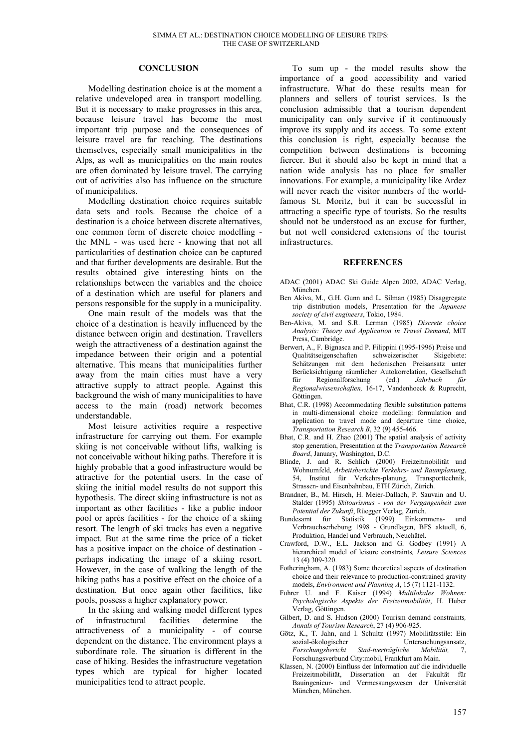#### **CONCLUSION**

Modelling destination choice is at the moment a relative undeveloped area in transport modelling. But it is necessary to make progresses in this area, because leisure travel has become the most important trip purpose and the consequences of leisure travel are far reaching. The destinations themselves, especially small municipalities in the Alps, as well as municipalities on the main routes are often dominated by leisure travel. The carrying out of activities also has influence on the structure of municipalities.

Modelling destination choice requires suitable data sets and tools. Because the choice of a destination is a choice between discrete alternatives, one common form of discrete choice modelling the MNL - was used here - knowing that not all particularities of destination choice can be captured and that further developments are desirable. But the results obtained give interesting hints on the relationships between the variables and the choice of a destination which are useful for planers and persons responsible for the supply in a municipality.

One main result of the models was that the choice of a destination is heavily influenced by the distance between origin and destination. Travellers weigh the attractiveness of a destination against the impedance between their origin and a potential alternative. This means that municipalities further away from the main cities must have a very attractive supply to attract people. Against this background the wish of many municipalities to have access to the main (road) network becomes understandable.

Most leisure activities require a respective infrastructure for carrying out them. For example skiing is not conceivable without lifts, walking is not conceivable without hiking paths. Therefore it is highly probable that a good infrastructure would be attractive for the potential users. In the case of skiing the initial model results do not support this hypothesis. The direct skiing infrastructure is not as important as other facilities - like a public indoor pool or aprés facilities - for the choice of a skiing resort. The length of ski tracks has even a negative impact. But at the same time the price of a ticket has a positive impact on the choice of destination perhaps indicating the image of a skiing resort. However, in the case of walking the length of the hiking paths has a positive effect on the choice of a destination. But once again other facilities, like pools, possess a higher explanatory power.

In the skiing and walking model different types of infrastructural facilities determine the attractiveness of a municipality - of course dependent on the distance. The environment plays a subordinate role. The situation is different in the case of hiking. Besides the infrastructure vegetation types which are typical for higher located municipalities tend to attract people.

To sum up - the model results show the importance of a good accessibility and varied infrastructure. What do these results mean for planners and sellers of tourist services. Is the conclusion admissible that a tourism dependent municipality can only survive if it continuously improve its supply and its access. To some extent this conclusion is right, especially because the competition between destinations is becoming fiercer. But it should also be kept in mind that a nation wide analysis has no place for smaller innovations. For example, a municipality like Ardez will never reach the visitor numbers of the worldfamous St. Moritz, but it can be successful in attracting a specific type of tourists. So the results should not be understood as an excuse for further, but not well considered extensions of the tourist infrastructures.

#### **REFERENCES**

- ADAC (2001) ADAC Ski Guide Alpen 2002, ADAC Verlag, München.
- Ben Akiva, M., G.H. Gunn and L. Silman (1985) Disaggregate trip distribution models, Presentation for the *Japanese society of civil engineers*, Tokio, 1984.
- Ben-Akiva, M. and S.R. Lerman (1985) *Discrete choice Analysis: Theory and Application in Travel Demand*, MIT Press, Cambridge.
- Berwert, A., F. Bignasca and P. Filippini (1995-1996) Preise und Qualitätseigenschaften schweizerischer Skigebiete: Schätzungen mit dem hedonischen Preisansatz unter Berücksichtigung räumlicher Autokorrelation, Gesellschaft<br>für Regionalforschung (ed.) Jahrbuch für für Regionalforschung (ed.) *Jahrbuch für Regionalwissenschaften,* 16-17, Vandenhoeck & Ruprecht, Göttingen.
- Bhat, C.R. (1998) Accommodating flexible substitution patterns in multi-dimensional choice modelling: formulation and application to travel mode and departure time choice, *Transportation Research B*, 32 (9) 455-466.
- Bhat, C.R. and H. Zhao (2001) The spatial analysis of activity stop generation, Presentation at the *Transportation Research Board*, January, Washington, D.C.
- Blinde, J. and R. Schlich (2000) Freizeitmobilität und Wohnumfeld*, Arbeitsberichte Verkehrs- und Raumplanung*, 54, Institut für Verkehrs-planung, Transporttechnik, Strassen- und Eisenbahnbau, ETH Zürich, Zürich.
- Brandner, B., M. Hirsch, H. Meier-Dallach, P. Sauvain and U. Stalder (1995) *Skitourismus - von der Vergangenheit zum Potential der Zukunft*, Rüegger Verlag, Zürich.
- Bundesamt für Statistik (1999) Einkommens- und Verbrauchserhebung 1998 - Grundlagen, BFS aktuell, 6, Produktion, Handel und Verbrauch, Neuchâtel.
- Crawford, D.W., E.L. Jackson and G. Godbey (1991) A hierarchical model of leisure constraints*, Leisure Sciences* 13 (4) 309-320.
- Fotheringham, A. (1983) Some theoretical aspects of destination choice and their relevance to production-constrained gravity models, *Environment and Planning A*, 15 (7) 1121-1132.
- Fuhrer U. and F. Kaiser (1994) *Multilokales Wohnen: Psychologische Aspekte der Freizeitmobilität*, H. Huber Verlag, Göttingen.
- Gilbert, D. and S. Hudson (2000) Tourism demand constraints*, Annals of Tourism Research*, 27 (4) 906-925.
- Götz, K., T. Jahn, and I. Schultz (1997) Mobilitätsstile: Ein sozial-ökologischer Untersuchungsansatz,<br>Eorschungsbericht Stad-tverträgliche Mobilität 7 *Forschungsbericht Stad-tverträgliche Mobilität,* 7, Forschungsverbund City:mobil, Frankfurt am Main.
- Klassen, N. (2000) Einfluss der Information auf die individuelle Freizeitmobilität, Dissertation an der Fakultät für Bauingenieur- und Vermessungswesen der Universität München, München.